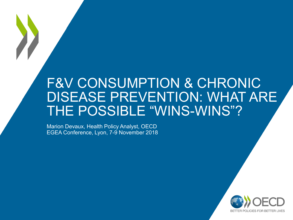## F&V CONSUMPTION & CHRONIC DISEASE PREVENTION: WHAT ARE THE POSSIBLE "WINS-WINS"?

Marion Devaux, Health Policy Analyst, OECD EGEA Conference, Lyon, 7-9 November 2018

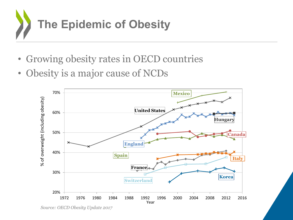

- Growing obesity rates in OECD countries
- Obesity is a major cause of NCDs



*Source: OECD Obesity Update 2017*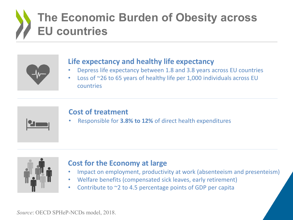# **The Economic Burden of Obesity across EU countries**



### **Life expectancy and healthy life expectancy**

- Depress life expectancy between 1.8 and 3.8 years across EU countries
- Loss of ~26 to 65 years of healthy life per 1,000 individuals across EU countries



#### **Cost of treatment**

• Responsible for **3.8% to 12%** of direct health expenditures



### **Cost for the Economy at large**

- Impact on employment, productivity at work (absenteeism and presenteism)
- Welfare benefits (compensated sick leaves, early retirement)
- Contribute to ~2 to 4.5 percentage points of GDP per capita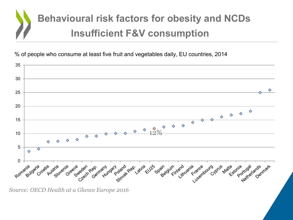

% of people who consume at least five fruit and vegetables daily, EU countries, 2014



*Source: OECD Health at a Glance Europe 2016*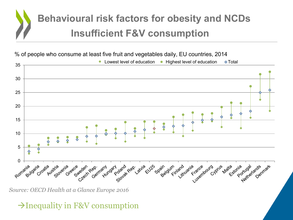

% of people who consume at least five fruit and vegetables daily, EU countries, 2014



*Source: OECD Health at a Glance Europe 2016*

## $\rightarrow$ Inequality in F&V consumption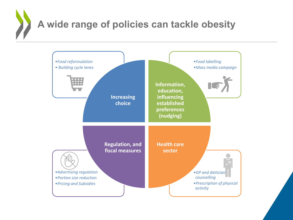**A wide range of policies can tackle obesity**

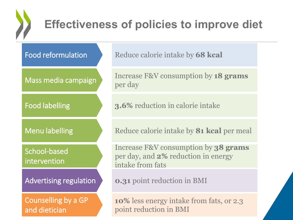

## **Effectiveness of policies to improve diet**

Mass media campaign

Food labelling

School-based intervention

Counselling by a GP and dietician

Food reformulation Reduce calorie intake by 68 kcal

Increase F&V consumption by **18 grams**  per day

**3.6%** reduction in calorie intake

Menu labelling Reduce calorie intake by **81 kcal** per meal

Increase F&V consumption by **38 grams**  per day, and **2%** reduction in energy intake from fats

Advertising regulation **0.31** point reduction in BMI

**10%** less energy intake from fats, or 2.3 point reduction in BMI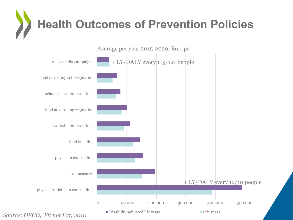



*Source: OECD, Fit not Fat, 2010*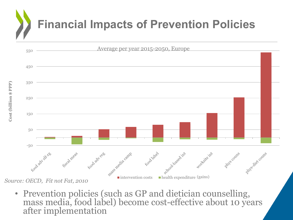# **Financial Impacts of Prevention Policies**



• Prevention policies (such as GP and dietician counselling, mass media, food label) become cost-effective about 10 years after implementation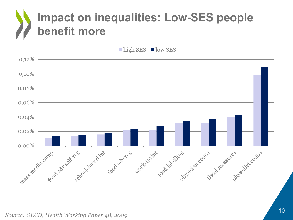# **Impact on inequalities: Low-SES people benefit more**

 $\blacksquare$  high SES  $\blacksquare$  low SES

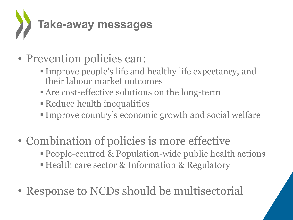

- Prevention policies can:
	- Improve people's life and healthy life expectancy, and their labour market outcomes
	- Are cost-effective solutions on the long-term
	- **Reduce health inequalities**
	- Improve country's economic growth and social welfare
- Combination of policies is more effective
	- People-centred & Population-wide public health actions
	- Health care sector & Information & Regulatory
- Response to NCDs should be multisectorial